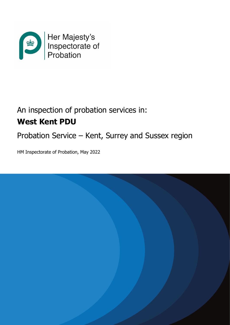

# An inspection of probation services in: **West Kent PDU**

Probation Service – Kent, Surrey and Sussex region

HM Inspectorate of Probation, May 2022

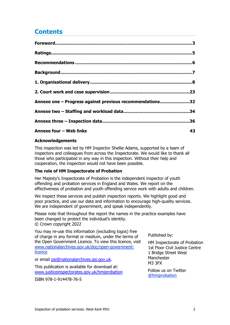# **Contents**

| Annexe one - Progress against previous recommendations32 |    |
|----------------------------------------------------------|----|
|                                                          |    |
|                                                          |    |
| Annexe four - Web links                                  | 43 |

#### **Acknowledgements**

This inspection was led by HM Inspector Shellie Adams, supported by a team of inspectors and colleagues from across the Inspectorate. We would like to thank all those who participated in any way in this inspection. Without their help and cooperation, the inspection would not have been possible.

#### **The role of HM Inspectorate of Probation**

Her Majesty's Inspectorate of Probation is the independent inspector of youth offending and probation services in England and Wales. We report on the effectiveness of probation and youth offending service work with adults and children.

We inspect these services and publish inspection reports. We highlight good and poor practice, and use our data and information to encourage high-quality services. We are independent of government, and speak independently.

Please note that throughout the report the names in the practice examples have been changed to protect the individual's identity. © Crown copyright 2022

You may re-use this information (excluding logos) free of charge in any format or medium, under the terms of the Open Government Licence. To view this licence, visit [www.nationalarchives.gov.uk/doc/open-government](http://www.nationalarchives.gov.uk/doc/open-government-licence)[licence](http://www.nationalarchives.gov.uk/doc/open-government-licence)

or email [psi@nationalarchives.gsi.gov.uk.](mailto:psi@nationalarchives.gsi.gov.uk)

This publication is available for download at: [www.justiceinspectorates.gov.uk/hmiprobation](http://www.justiceinspectorates.gov.uk/hmiprobation)

ISBN 978-1-914478-76-5

Published by:

HM Inspectorate of Probation 1st Floor Civil Justice Centre 1 Bridge Street West **Manchester** M3 3FX

Follow us on Twitter [@hmiprobation](https://twitter.com/HMIProbation)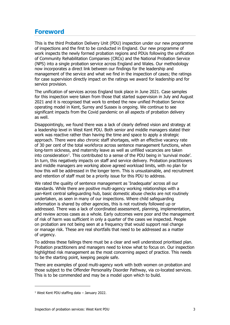### <span id="page-2-0"></span>**Foreword**

This is the third Probation Delivery Unit (PDU) inspection under our new programme of inspections and the first to be conducted in England. Our new programme of work inspects the newly formed probation regions and PDUs following the unification of Community Rehabilitation Companies (CRCs) and the National Probation Service (NPS) into a single probation service across England and Wales. Our methodology now incorporates a direct link between our findings for the leadership and management of the service and what we find in the inspection of cases; the ratings for case supervision directly impact on the ratings we award for leadership and for service provision.

The unification of services across England took place in June 2021. Case samples for this inspection were taken from those that started supervision in July and August 2021 and it is recognised that work to embed the new unified Probation Service operating model in Kent, Surrey and Sussex is ongoing. We continue to see significant impacts from the Covid pandemic on all aspects of probation delivery as well.

Disappointingly, we found there was a lack of clearly defined vision and strategy at a leadership level in West Kent PDU. Both senior and middle managers stated their work was reactive rather than having the time and space to apply a strategic approach. There were also chronic staff shortages, with an effective vacancy rate of 30 per cent of the total workforce across sentence management functions, when long-term sickness, and maternity leave as well as unfilled vacancies are taken into consideration<sup>[1](#page-2-1)</sup>. This contributed to a sense of the PDU being in `survival mode'. In turn, this negatively impacts on staff and service delivery. Probation practitioners and middle managers are working above agreed workload limits, with no plan for how this will be addressed in the longer term. This is unsustainable, and recruitment and retention of staff must be a priority issue for this PDU to address.

We rated the quality of sentence management as 'Inadequate' across all our standards. While there are positive multi-agency working relationships with a pan-Kent central safeguarding hub, basic domestic abuse checks are not routinely undertaken, as seen in many of our inspections. Where child safeguarding information is shared by other agencies, this is not routinely followed up or addressed. There was a lack of coordinated assessment, planning, implementation, and review across cases as a whole. Early outcomes were poor and the management of risk of harm was sufficient in only a quarter of the cases we inspected. People on probation are not being seen at a frequency that would support real change or manage risk. These are real shortfalls that need to be addressed as a matter of urgency.

To address these failings there must be a clear and well understood prioritised plan. Probation practitioners and managers need to know what to focus on. Our inspection highlighted risk management as the most concerning aspect of practice. This needs to be the starting point, keeping people safe.

There are examples of good multi-agency work with both women on probation and those subject to the Offender Personality Disorder Pathway, via co-located services. This is to be commended and may be a model upon which to build.

<span id="page-2-1"></span> $1$  West Kent PDU staffing data – January 2022.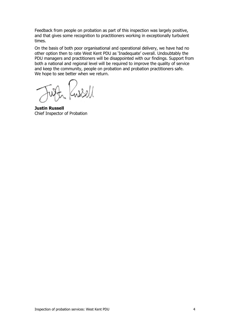Feedback from people on probation as part of this inspection was largely positive, and that gives some recognition to practitioners working in exceptionally turbulent times.

On the basis of both poor organisational and operational delivery, we have had no other option then to rate West Kent PDU as 'Inadequate' overall. Undoubtably the PDU managers and practitioners will be disappointed with our findings. Support from both a national and regional level will be required to improve the quality of service and keep the community, people on probation and probation practitioners safe. We hope to see better when we return.

**Justin Russell** Chief Inspector of Probation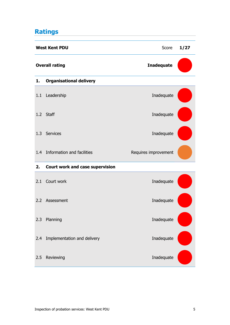# <span id="page-4-0"></span>**Ratings**

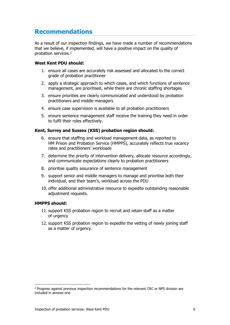# <span id="page-5-0"></span>**Recommendations**

As a result of our inspection findings, we have made a number of recommendations that we believe, if implemented, will have a positive impact on the quality of probation services. [2](#page-5-1)

#### **West Kent PDU should:**

- 1. ensure all cases are accurately risk assessed and allocated to the correct grade of probation practitioner
- 2. apply a strategic approach to which cases, and which functions of sentence management, are prioritised, while there are chronic staffing shortages
- 3. ensure priorities are clearly communicated and understood by probation practitioners and middle managers
- 4. ensure case supervision is available to all probation practitioners
- 5. ensure sentence management staff receive the training they need in order to fulfil their roles effectively.

#### **Kent, Surrey and Sussex (KSS) probation region should:**

- 6. ensure that staffing and workload management data, as reported to HM Prison and Probation Service (HMPPS), accurately reflects true vacancy rates and practitioners' workloads
- 7. determine the priority of intervention delivery, allocate resource accordingly, and communicate expectations clearly to probation practitioners
- 8. prioritise quality assurance of sentence management
- 9. support senior and middle managers to manage and prioritise both their individual, and their team's, workload across the PDU
- 10. offer additional administrative resource to expedite outstanding reasonable adjustment requests.

#### **HMPPS should:**

- 11. support KSS probation region to recruit and retain staff as a matter of urgency
- 12. support KSS probation region to expedite the vetting of newly joining staff as a matter of urgency.

<span id="page-5-1"></span><sup>&</sup>lt;sup>2</sup> Progress against previous inspection recommendations for the relevant CRC or NPS division are included in annexe one.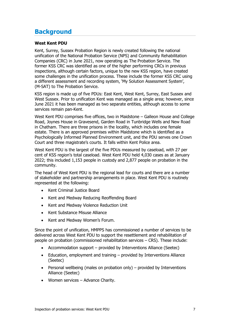### <span id="page-6-0"></span>**Background**

#### **West Kent PDU**

Kent, Surrey, Sussex Probation Region is newly created following the national unification of the National Probation Service (NPS) and Community Rehabilitation Companies (CRC) in June 2021, now operating as The Probation Service. The former KSS CRC was identified as one of the higher performing CRCs in previous inspections, although certain factors, unique to the new KSS region, have created some challenges in the unification process. These include the former KSS CRC using a different assessment and recording system, 'My Solution Assessment System', (M-SAT) to The Probation Service.

KSS region is made up of five PDUs: East Kent, West Kent, Surrey, East Sussex and West Sussex. Prior to unification Kent was managed as a single area; however, since June 2021 it has been managed as two separate entities, although access to some services remain pan-Kent.

West Kent PDU comprises five offices, two in Maidstone – Galleon House and College Road, Joynes House in Gravesend, Garden Road in Tunbridge Wells and New Road in Chatham. There are three prisons in the locality, which includes one female estate. There is an approved premises within Maidstone which is identified as a Psychologically Informed Planned Environment unit, and the PDU serves one Crown Court and three magistrate's courts. It falls within Kent Police area.

West Kent PDU is the largest of the five PDUs measured by caseload, with 27 per cent of KSS region's total caseload. West Kent PDU held 4,030 cases as at January 2022; this included 1,153 people in custody and 2,877 people on probation in the community.

The head of West Kent PDU is the regional lead for courts and there are a number of stakeholder and partnership arrangements in place. West Kent PDU is routinely represented at the following:

- Kent Criminal Justice Board
- Kent and Medway Reducing Reoffending Board
- Kent and Medway Violence Reduction Unit
- Kent Substance Misuse Alliance
- Kent and Medway Women's Forum.

Since the point of unification, HMPPS has commissioned a number of services to be delivered across West Kent PDU to support the resettlement and rehabilitation of people on probation (commissioned rehabilitation services – CRS). These include:

- Accommodation support provided by Interventions Alliance (Seetec)
- Education, employment and training provided by Interventions Alliance (Seetec)
- Personal wellbeing (males on probation only) provided by Interventions Alliance (Seetec)
- Women services Advance Charity.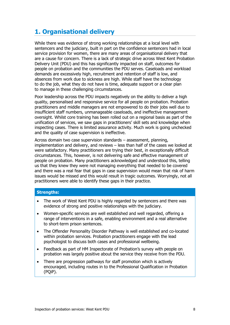# <span id="page-7-0"></span>**1. Organisational delivery**

While there was evidence of strong working relationships at a local level with sentencers and the judiciary, built in part on the confidence sentencers had in local service provision for women, there are many areas of organisational delivery that are a cause for concern. There is a lack of strategic drive across West Kent Probation Delivery Unit (PDU) and this has significantly impacted on staff, outcomes for people on probation and the communities the PDU serves. Caseloads and workload demands are excessively high, recruitment and retention of staff is low, and absences from work due to sickness are high. While staff have the technology to do the job, what they do not have is time, adequate support or a clear plan to manage in these challenging circumstances.

Poor leadership across the PDU impacts negatively on the ability to deliver a high quality, personalised and responsive service for all people on probation. Probation practitioners and middle managers are not empowered to do their jobs well due to insufficient staff numbers, unmanageable caseloads, and ineffective management oversight. Whilst core training has been rolled out on a regional basis as part of the unification of services, we saw gaps in practitioners' skill sets and knowledge when inspecting cases. There is limited assurance activity. Much work is going unchecked and the quality of case supervision is ineffective.

Across domain two case supervision standards – assessment, planning, implementation and delivery, and reviews – less than half of the cases we looked at were satisfactory. Many practitioners are trying their best, in exceptionally difficult circumstances. This, however, is not delivering safe and effective management of people on probation. Many practitioners acknowledged and understood this, telling us that they knew they were not managing everything that needed to be covered and there was a real fear that gaps in case supervision would mean that risk of harm issues would be missed and this would result in tragic outcomes. Worryingly, not all practitioners were able to identify these gaps in their practice.

#### **Strengths:**

- The work of West Kent PDU is highly regarded by sentencers and there was evidence of strong and positive relationships with the judiciary.
- Women-specific services are well established and well regarded, offering a range of interventions in a safe, enabling environment and a real alternative to short-term prison sentences.
- The Offender Personality Disorder Pathway is well established and co-located within probation services. Probation practitioners engage with the lead psychologist to discuss both cases and professional wellbeing.
- Feedback as part of HM Inspectorate of Probation's survey with people on probation was largely positive about the service they receive from the PDU.
- There are progression pathways for staff promotion which is actively encouraged, including routes in to the Professional Qualification in Probation (PQiP).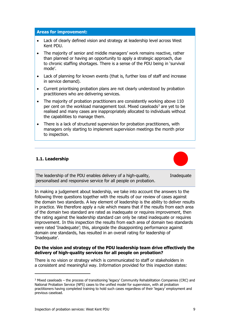#### **Areas for improvement:**

- Lack of clearly defined vision and strategy at leadership level across West Kent PDU.
- The majority of senior and middle managers' work remains reactive, rather than planned or having an opportunity to apply a strategic approach, due to chronic staffing shortages. There is a sense of the PDU being in 'survival mode'.
- Lack of planning for known events (that is, further loss of staff and increase in service demand).
- Current prioritising probation plans are not clearly understood by probation practitioners who are delivering services.
- The majority of probation practitioners are consistently working above 110 per cent on the workload management tool. Mixed caseloads<sup>[3](#page-8-0)</sup> are yet to be realised and many cases are inappropriately allocated to individuals without the capabilities to manage them.
- There is a lack of structured supervision for probation practitioners, with managers only starting to implement supervision meetings the month prior to inspection.

#### **1.1. Leadership**



The leadership of the PDU enables delivery of a high-quality, personalised and responsive service for all people on probation. **Inadequate** 

In making a judgement about leadership, we take into account the answers to the following three questions together with the results of our review of cases against the domain two standards. A key element of leadership is the ability to deliver results in practice. We therefore apply a rule which means that if the results from each area of the domain two standard are rated as inadequate or requires improvement, then the rating against the leadership standard can only be rated inadequate or requires improvement. In this inspection the results from each area of domain two standards were rated 'Inadequate'; this, alongside the disappointing performance against domain one standards, has resulted in an overall rating for leadership of 'Inadequate'.

#### **Do the vision and strategy of the PDU leadership team drive effectively the delivery of high-quality services for all people on probation?**

There is no vision or strategy which is communicated to staff or stakeholders in a consistent and meaningful way. Information provided for this inspection states:

<span id="page-8-0"></span><sup>3</sup> Mixed caseloads – the process of transitioning 'legacy' Community Rehabilitation Companies (CRC) and National Probation Service (NPS) cases to the unified model for supervision, with all probation practitioners having completed training to hold such cases regardless of their 'legacy' employment and previous caseload.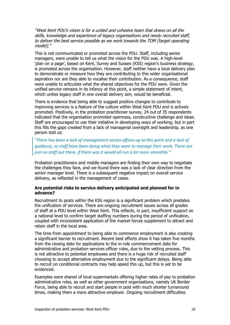"West Kent PDU's vision is for a united and cohesive team that draws on all the skills, knowledge and experience of legacy organisations and newly recruited staff, to deliver the best service possible as we work towards the TOM [target operating model1."

This is not communicated or promoted across the PDU. Staff, including senior managers, were unable to tell us what the vision for the PDU was. A high-level 'plan on a page', based on Kent, Surrey and Sussex (KSS) region's business strategy, is promoted across the organisation. However, staff neither have a local delivery plan to demonstrate or measure how they are contributing to this wider organisational aspiration nor are they able to vocalise their contribution. As a consequence, staff were unable to articulate what the shared objectives for the PDU were. Given the unified service remains in its infancy at this point, a simple statement of intent, which unites legacy staff in one overall delivery aim, would be beneficial.

There is evidence that being able to suggest positive changes to contribute to improving services is a feature of the culture within West Kent PDU and is actively promoted. Positively, in the probation practitioner survey, 24 out of 35 respondents indicated that the organisation promoted openness, constructive challenge and ideas. Staff are encouraged to use their initiative in developing ways of working; but in part this fills the gaps created from a lack of managerial oversight and leadership, as one person told us:

*"There has been a lack of management across offices up to this point and a lack of guidance, so staff have been doing what they want to manage their work. There are just no staff out there, if there was it would all run a lot more smoothly."*

Probation practitioners and middle managers are finding their own way to negotiate the challenges they face, and we found there was a lack of clear direction from the senior manager level. There is a subsequent negative impact on overall service delivery, as reflected in the management of cases.

#### **Are potential risks to service delivery anticipated and planned for in advance?**

Recruitment to posts within the KSS region is a significant problem which predates the unification of services. There are ongoing recruitment issues across all grades of staff at a PDU level within West Kent. This reflects, in part, insufficient support on a national level to confirm target staffing numbers during the period of unification, coupled with inconsistent application of the market forces supplement to attract and retain staff in the local area.

The time from appointment to being able to commence employment is also creating a significant barrier to recruitment. Recent best efforts show it has taken five months from the closing date for applications to the in-role commencement date for administrative and probation services officer roles, due to the vetting process. This is not attractive to potential employees and there is a huge risk of recruited staff choosing to accept alternative employment due to the significant delays. Being able to recruit on conditional contracts may help speed this up, but this is yet to be evidenced.

Examples were shared of local supermarkets offering higher rates of pay to probation administrative roles, as well as other government organisations, namely UK Border Force, being able to recruit and start people in post with much shorter turnaround times, making them a more attractive employer. Ongoing recruitment difficulties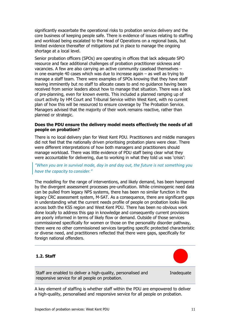significantly exacerbate the operational risks to probation service delivery and the core business of keeping people safe. There is evidence of issues relating to staffing and workload being escalated to the Head of Operations on a regional basis, but limited evidence thereafter of mitigations put in place to manage the ongoing shortage at a local level.

Senior probation officers (SPOs) are operating in offices that lack adequate SPO resource and face additional challenges of probation practitioner sickness and vacancies. A few are also carrying an active community caseload themselves – in one example 40 cases which was due to increase again – as well as trying to manage a staff team. There were examples of SPOs knowing that they have staff leaving imminently but no staff to allocate cases to and no guidance having been received from senior leaders about how to manage that situation. There was a lack of pre-planning, even for known events. This included a planned ramping up of court activity by HM Court and Tribunal Service within West Kent, with no current plan of how this will be resourced to ensure coverage by The Probation Service. Managers advised that the majority of their work remains reactive, rather than planned or strategic.

#### **Does the PDU ensure the delivery model meets effectively the needs of all people on probation?**

There is no local delivery plan for West Kent PDU. Practitioners and middle managers did not feel that the nationally driven prioritising probation plans were clear. There were different interpretations of how both managers and practitioners should manage workload. There was little evidence of PDU staff being clear what they were accountable for delivering, due to working in what they told us was 'crisis':

#### *"When you are in survival mode, day in and day out, the future is not something you have the capacity to consider."*

The modelling for the range of interventions, and likely demand, has been hampered by the divergent assessment processes pre-unification. While criminogenic need data can be pulled from legacy NPS systems, there has been no similar function in the legacy CRC assessment system, M-SAT. As a consequence, there are significant gaps in understanding what the current needs profile of people on probation looks like across both the KSS region and West Kent PDU. There has been no obvious work done locally to address this gap in knowledge and consequently current provisions are poorly informed in terms of likely flow or demand. Outside of those services commissioned specifically for women or those on the personality disorder pathway, there were no other commissioned services targeting specific protected characteristic or diverse need, and practitioners reflected that there were gaps, specifically for foreign national offenders.

#### **1.2. Staff**

Staff are enabled to deliver a high-quality, personalised and responsive service for all people on probation.

**Inadequate** 

A key element of staffing is whether staff within the PDU are empowered to deliver a high-quality, personalised and responsive service for all people on probation.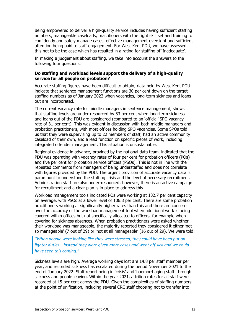Being empowered to deliver a high-quality service includes having sufficient staffing numbers, manageable caseloads, practitioners with the right skill set and training to confidently and safely manage cases, effective management oversight and sufficient attention being paid to staff engagement. For West Kent PDU, we have assessed this not to be the case which has resulted in a rating for staffing of 'Inadequate'.

In making a judgement about staffing, we take into account the answers to the following four questions.

#### **Do staffing and workload levels support the delivery of a high-quality service for all people on probation?**

Accurate staffing figures have been difficult to obtain; data held by West Kent PDU indicate that sentence management functions are 30 per cent down on the target staffing numbers as of January 2022 when vacancies, long-term sickness and loans out are incorporated.

The current vacancy rate for middle managers in sentence management, shows that staffing levels are under resourced by 53 per cent when long-term sickness and loans out of the PDU are considered (compared to an 'official' SPO vacancy rate of 31 per cent). This was evident in discussion with both middle managers and probation practitioners, with most offices holding SPO vacancies. Some SPOs told us that they were supervising up to 22 members of staff, had an active community caseload of their own, and a lead function on specific pieces of work, including integrated offender management. This situation is unsustainable.

Regional evidence in advance, provided by the national data team, indicated that the PDU was operating with vacancy rates of four per cent for probation officers (POs) and five per cent for probation service officers (PSOs). This is not in line with the repeated comments from managers of being understaffed and does not correlate with figures provided by the PDU. The urgent provision of accurate vacancy data is paramount to understand the staffing crisis and the level of necessary recruitment. Administration staff are also under-resourced; however, there is an active campaign for recruitment and a clear plan is in place to address this.

Workload management tools indicated POs were working at 132.7 per cent capacity on average, with PSOs at a lower level of 106.3 per cent. There are some probation practitioners working at significantly higher rates than this and there are concerns over the accuracy of the workload management tool when additional work is being covered within offices but not specifically allocated to officers, for example when covering for sickness absences. When probation practitioners were asked whether their workload was manageable, the majority reported they considered it either 'not so manageable' (7 out of 29) or 'not at all manageable' (16 out of 29). We were told:

*"When people were looking like they were stressed, they could have been put on lighter duties… instead they were given more cases and went off sick and we could have seen this coming."*

Sickness levels are high. Average working days lost are 14.8 per staff member per year, and recorded sickness has escalated during the period November 2021 to the end of January 2022. Staff report being in 'crisis' and 'haemorrhaging staff' through sickness and people leaving. Within the year 2021, attrition rates for all staff were recorded at 15 per cent across the PDU. Given the complexities of staffing numbers at the point of unification, including several CRC staff choosing not to transfer into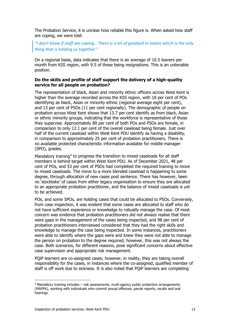The Probation Service, it is unclear how reliable this figure is. When asked how staff are coping, we were told:

*"I don't know if staff are coping… There is a lot of goodwill in teams which is the only thing that is holding us together."* 

On a regional basis, data indicates that there is an average of 10.5 leavers per month from KSS region, with 9.5 of these being resignations. This is an untenable position.

#### **Do the skills and profile of staff support the delivery of a high-quality service for all people on probation?**

The representation of black, Asian and minority ethnic officers across West Kent is higher than the average recorded across the KSS region, with 18 per cent of POs identifying as black, Asian or minority ethnic (regional average eight per cent), and 13 per cent of PSOs (11 per cent regionally). The demographic of people on probation across West Kent shows that 13.7 per cent identify as from black, Asian or ethnic minority groups, indicating that the workforce is representative of those they supervise. Approximately 80 per cent of both POs and PSOs are female, in comparison to only 12.1 per cent of the overall caseload being female. Just over half of the current caseload within West Kent PDU identify as having a disability, in comparison to approximately 25 per cent of probation practitioners. There is no available protected characteristic information available for middle manager (SPO), grades.

Mandatory training<sup>[4](#page-12-0)</sup> to progress the transition to mixed caseloads for all staff members is behind target within West Kent PDU. As of December 2021, 48 per cent of POs, and 53 per cent of PSOs had completed the required training to move to mixed caseloads. The move to a more blended caseload is happening to some degree, through allocation of new cases post sentence. There has however, been no 'stocktake' of cases from either legacy organisation to ensure they are allocated to an appropriate probation practitioner, and the balance of mixed caseloads is yet to be achieved.

POs, and some SPOs, are holding cases that could be allocated to PSOs. Conversely, from case inspection, it was evident that some cases are allocated to staff who do not have sufficient experience or knowledge to robustly manage the case. Of most concern was evidence that probation practitioners did not always realise that there were gaps in the management of the cases being inspected, and 98 per cent of probation practitioners interviewed considered that they had the right skills and knowledge to manage the case being inspected. In some instances, practitioners were able to identify where the gaps were and knew they were not able to manage the person on probation to the degree required; however, this was not always the case. Both scenarios, for different reasons, pose significant concerns about effective case supervision and appropriate risk management.

PQiP learners are co-assigned cases; however, in reality, they are taking overall responsibility for the cases, in instances where the co-assigned, qualified member of staff is off work due to sickness. It is also noted that PQiP learners are completing

<span id="page-12-0"></span><sup>4</sup> Mandatory training includes – risk assessments, multi-agency public protection arrangements (MAPPA), working with individuals who commit sexual offences, parole reports, recalls and oral hearings.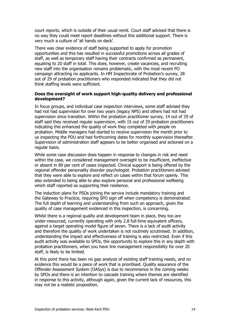court reports, which is outside of their usual remit. Court staff advised that there is no way they could meet report deadlines without this additional support. There is very much a culture of 'all hands on deck'.

There was clear evidence of staff being supported to apply for promotion opportunities and this has resulted in successful promotions across all grades of staff, as well as temporary staff having their contracts confirmed as permanent, equating to 20 staff in total. This does, however, create vacancies, and recruiting new staff into the organisation remains problematic, with the most recent PO campaign attracting no applicants. In HM Inspectorate of Probation's survey, 28 out of 29 of probation practitioners who responded indicated that they did not think staffing levels were sufficient.

#### **Does the oversight of work support high-quality delivery and professional development?**

In focus groups, and individual case inspection interviews, some staff advised they had not had supervision for over two years (legacy NPS) and others had not had supervision since transition. Within the probation practitioner survey, 14 out of 29 of staff said they received regular supervision, with 15 out of 29 probation practitioners indicating this enhanced the quality of work they completed with people on probation. Middle managers had started to receive supervision the month prior to us inspecting the PDU and had forthcoming dates for monthly supervision thereafter. Supervision of administration staff appears to be better organised and actioned on a regular basis.

While some case discussion does happen in response to changes in risk and need within the case, we considered management oversight to be insufficient, ineffective or absent in 89 per cent of cases inspected. Clinical support is being offered by the regional offender personality disorder psychologist. Probation practitioners advised that they were able to explore and reflect on cases within that forum openly. This also extended to being able to also explore personal and professional wellbeing which staff reported as supporting their resilience.

The induction plans for PSOs joining the service include mandatory training and the Gateway to Practice, requiring SPO sign off when competency is demonstrated. The full depth of learning and understanding from such an approach, given the quality of case management evidenced in this inspection, is concerning.

Whilst there is a regional quality and development team in place, they too are under-resourced, currently operating with only 2.8 full-time equivalent officers, against a target operating model figure of seven. There is a lack of audit activity and therefore the quality of work undertaken is not routinely scrutinised. In addition, understanding the impact and effectiveness of training is also restricted. Even if this audit activity was available to SPOs, the opportunity to explore this in any depth with probation practitioners, when you have line management responsibility for over 20 staff, is likely to be limited.

At this point there has been no gap analysis of existing staff training needs, and no evidence this would be a piece of work that is prioritised. Quality assurance of the Offender Assessment System (OASys) is due to recommence in the coming weeks by SPOs and there is an intention to cascade training where themes are identified in response to this activity, although again, given the current lack of resources, this may not be a realistic proposition.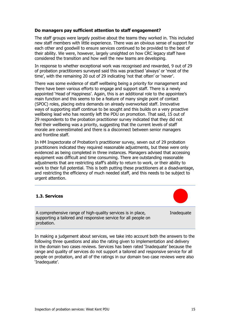#### **Do managers pay sufficient attention to staff engagement?**

The staff groups were largely positive about the teams they worked in. This included new staff members with little experience. There was an obvious sense of support for each other and goodwill to ensure services continued to be provided to the best of their ability. We were, however, largely unsighted on how CRC legacy staff have considered the transition and how well the new teams are developing.

In response to whether exceptional work was recognised and rewarded, 9 out of 29 of probation practitioners surveyed said this was practised 'always' or 'most of the time', with the remaining 20 out of 29 indicating 'not that often' or 'never'.

There was some evidence of staff wellbeing being a priority for management and there have been various efforts to engage and support staff. There is a newly appointed 'Head of Happiness'. Again, this is an additional role to the appointee's main function and this seems to be a feature of many single point of contact (SPOC) roles, placing extra demands on already overworked staff. Innovative ways of supporting staff continue to be sought and this builds on a very proactive wellbeing lead who has recently left the PDU on promotion. That said, 15 out of 29 respondents to the probation practitioner survey indicated that they did not feel their wellbeing was a priority, suggesting that the current levels of staff morale are overestimated and there is a disconnect between senior managers and frontline staff.

In HM Inspectorate of Probation's practitioner survey, seven out of 29 probation practitioners indicated they required reasonable adjustments, but these were only evidenced as being completed in three instances. Managers advised that accessing equipment was difficult and time consuming. There are outstanding reasonable adjustments that are restricting staff's ability to return to work, or their ability to work to their full potential. This is both putting these practitioners at a disadvantage, and restricting the efficiency of much needed staff, and this needs to be subject to urgent attention.

#### **1.3. Services**

A comprehensive range of high-quality services is in place, supporting a tailored and responsive service for all people on probation.

Inadequate

In making a judgement about services, we take into account both the answers to the following three questions and also the rating given to implementation and delivery in the domain two cases reviews. Services has been rated 'Inadequate' because the range and quality of services do not support a tailored and responsive service for all people on probation, and all of the ratings in our domain two case reviews were also 'Inadequate'.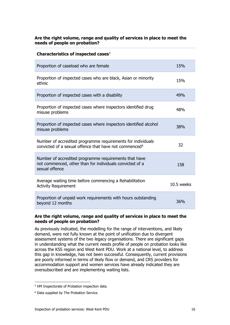#### **Are the right volume, range and quality of services in place to meet the needs of people on probation?**

| Characteristics of inspected cases <sup>5</sup>                                                                                     |            |
|-------------------------------------------------------------------------------------------------------------------------------------|------------|
| Proportion of caseload who are female                                                                                               | 15%        |
| Proportion of inspected cases who are black, Asian or minority<br>ethnic                                                            | 15%        |
| Proportion of inspected cases with a disability                                                                                     | 49%        |
| Proportion of inspected cases where inspectors identified drug<br>misuse problems                                                   | 48%        |
| Proportion of inspected cases where inspectors identified alcohol<br>misuse problems                                                | 38%        |
| Number of accredited programme requirements for individuals<br>convicted of a sexual offence that have not commenced <sup>6</sup>   | 32         |
| Number of accredited programme requirements that have<br>not commenced, other than for individuals convicted of a<br>sexual offence | 158        |
| Average waiting time before commencing a Rehabilitation<br><b>Activity Requirement</b>                                              | 10.5 weeks |
| Proportion of unpaid work requirements with hours outstanding<br>beyond 12 months                                                   | 36%        |

#### **Are the right volume, range and quality of services in place to meet the needs of people on probation?**

As previously indicated, the modelling for the range of interventions, and likely demand, were not fully known at the point of unification due to divergent assessment systems of the two legacy organisations. There are significant gaps in understanding what the current needs profile of people on probation looks like across the KSS region and West Kent PDU. Work at a national level, to address this gap in knowledge, has not been successful. Consequently, current provisions are poorly informed in terms of likely flow or demand, and CRS providers for accommodation support and women services have already indicated they are oversubscribed and are implementing waiting lists.

<span id="page-15-0"></span><sup>5</sup> HM Inspectorate of Probation inspection data.

<span id="page-15-1"></span><sup>6</sup> Data supplied by The Probation Service.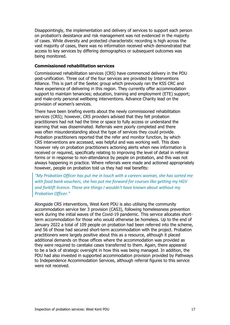Disappointingly, the implementation and delivery of services to support each person on probation's desistance and risk management was not evidenced in the majority of cases. While diversity and protected characteristic recording is high across the vast majority of cases, there was no information received which demonstrated that access to key services by differing demographics or subsequent outcomes was being monitored.

#### **Commissioned rehabilitation services**

Commissioned rehabilitation services (CRS) have commenced delivery in the PDU post-unification. Three out of the four services are provided by Interventions Alliance. This is part of the Seetec group which previously ran the KSS CRC and have experience of delivering in this region. They currently offer accommodation support to maintain tenancies; education, training and employment (ETE) support; and male-only personal wellbeing interventions. Advance Charity lead on the provision of women's services.

There have been briefing events about the newly commissioned rehabilitation services (CRS); however, CRS providers advised that they felt probation practitioners had not had the time or space to fully access or understand the learning that was disseminated. Referrals were poorly completed and there was often misunderstanding about the type of services they could provide. Probation practitioners reported that the refer and monitor function, by which CRS interventions are accessed, was helpful and was working well. This does however rely on probation practitioners actioning alerts when new information is received or required, specifically relating to improving the level of detail in referral forms or in response to non-attendance by people on probation, and this was not always happening in practice. Where referrals were made and actioned appropriately however, people on probation told us they had real benefits:

*"My Probation Officer has put me in touch with a careers woman, she has sorted me with food bank vouchers, she has put me forward for courses like getting my HGV and forklift licence. These are things I wouldn't have known about without my Probation Officer."*

Alongside CRS interventions, West Kent PDU is also utilising the community accommodation service tier 3 provision (CAS3), following homelessness prevention work during the initial waves of the Covid-19 pandemic. This service allocates shortterm accommodation for those who would otherwise be homeless. Up to the end of January 2022 a total of 109 people on probation had been referred into the scheme, and 56 of those had secured short-term accommodation with the project. Probation practitioners were largely positive about this as a resource, although it placed additional demands on those offices where the accommodation was provided as they were required to caretake cases transferred to them. Again, there appeared to be a lack of strategic oversight in how this was being managed. In addition, the PDU had also invested in supported accommodation provision provided by Pathways to Independence Accommodation Services, although referral figures to this service were not received.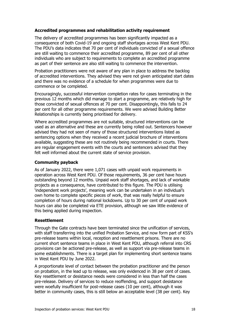#### **Accredited programmes and rehabilitation activity requirement**

The delivery of accredited programmes has been significantly impacted as a consequence of both Covid-19 and ongoing staff shortages across West Kent PDU. The PDU's data indicates that 70 per cent of individuals convicted of a sexual offence are still waiting to commence their accredited programme, 89 per cent of all other individuals who are subject to requirements to complete an accredited programme as part of their sentence are also still waiting to commence the intervention.

Probation practitioners were not aware of any plan in place to address the backlog of accredited interventions. They advised they were not given anticipated start dates and there was no evidence of a schedule for when programmes were due to commence or be completed.

Encouragingly, successful intervention completion rates for cases terminating in the previous 12 months which did manage to start a programme, are relatively high for those convicted of sexual offences at 70 per cent. Disappointingly, this falls to 24 per cent for all other programme requirements. We were advised Building Better Relationships is currently being prioritised for delivery.

Where accredited programmes are not suitable, structured interventions can be used as an alternative and these are currently being rolled out. Sentencers however advised they had not seen of many of those structured interventions listed as sentencing options when they received a recent judicial brochure of interventions available, suggesting these are not routinely being recommended in courts. There are regular engagement events with the courts and sentencers advised that they felt well informed about the current state of service provision.

#### **Community payback**

As of January 2022, there were 1,071 cases with unpaid work requirements in operation across West Kent PDU. Of those requirements, 36 per cent have hours outstanding beyond 12 months. Unpaid work staff shortages, and lack of workable projects as a consequence, have contributed to this figure. The PDU is utilising 'independent work projects', meaning work can be undertaken in an individual's own home to complete specific pieces of work, that was really helpful to ensure completion of hours during national lockdowns. Up to 30 per cent of unpaid work hours can also be completed via ETE provision, although we saw little evidence of this being applied during inspection.

#### **Resettlement**

Through the Gate contracts have been terminated since the unification of services, with staff transferring into the unified Probation Service, and now form part of KSS's pre-release teams within local, reception and resettlement prisons. There are no current short sentence teams in place in West Kent PDU, although referral into CRS provisions can be actioned pre-release, as well as support via pre-release teams in some establishments. There is a target plan for implementing short sentence teams in West Kent PDU by June 2022.

A proportionate level of contact between the probation practitioner and the person on probation, in the lead up to release, was only evidenced in 38 per cent of cases. Key resettlement or desistance needs were considered in less than half the cases pre-release. Delivery of services to reduce reoffending, and support desistance were woefully insufficient for post-release cases (10 per cent), although it was better in community cases, this is still below an acceptable level (38 per cent). Key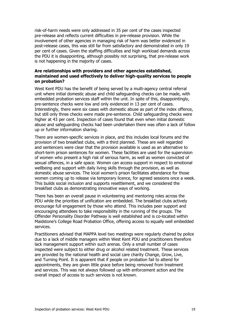risk-of-harm needs were only addressed in 35 per cent of the cases inspected pre-release and reflects current difficulties in pre-release provision. While the involvement of other agencies in managing risk of harm was better evidenced in post-release cases, this was still far from satisfactory and demonstrated in only 19 per cent of cases. Given the staffing difficulties and high workload demands across the PDU it is disappointing, although possibly not surprising, that pre-release work is not happening in the majority of cases.

#### **Are relationships with providers and other agencies established, maintained and used effectively to deliver high-quality services to people on probation?**

West Kent PDU has the benefit of being served by a multi-agency central referral unit where initial domestic abuse and child safeguarding checks can be made, with embedded probation services staff within the unit. In spite of this, disappointingly, pre-sentence checks were low and only evidenced in 13 per cent of cases. Interestingly, there were six cases with domestic abuse as part of the index offence, but still only three checks were made pre-sentence. Child safeguarding checks were higher at 43 per cent. Inspection of cases found that even when initial domestic abuse and safeguarding checks had been undertaken there was often a lack of follow up or further information sharing.

There are women-specific services in place, and this includes local forums and the provision of two breakfast clubs, with a third planned. These are well regarded and sentencers were clear that the provision available is used as an alternative to short-term prison sentences for women. These facilities are used for the supervision of women who present a high risk of serious harm, as well as women convicted of sexual offences, in a safe space. Women can access support in respect to emotional wellbeing and support with daily living skills through the provision, as well as domestic abuse services. The local women's prison facilitates attendance for those women coming up to release via temporary licence, for agreed sessions once a week. This builds social inclusion and supports resettlement, and we considered the breakfast clubs as demonstrating innovative ways of working.

There has been an overall pause in volunteering and mentoring roles across the PDU while the priorities of unification are embedded. The breakfast clubs actively encourage full engagement by those who attend. This includes peer support and encouraging attendees to take responsibility in the running of the groups. The Offender Personality Disorder Pathway is well established and is co-located within Maidstone's College Road Probation Office, offering access to equally well embedded services.

Practitioners advised that MAPPA level two meetings were regularly chaired by police due to a lack of middle managers within West Kent PDU and practitioners therefore lack management support within such arenas. Only a small number of cases inspected were subject to either drug or alcohol related treatment. These services are provided by the national health and social care charity Change, Grow, Live, and Turning Point. It is apparent that if people on probation fail to attend for appointments, they are given little grace before being removed from treatment and services. This was not always followed up with enforcement action and the overall impact of access to such services is not known.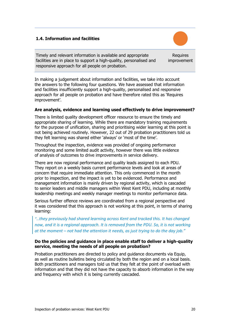#### **1.4. Information and facilities**

Timely and relevant information is available and appropriate facilities are in place to support a high-quality, personalised and responsive approach for all people on probation.

Requires improvement

In making a judgement about information and facilities, we take into account the answers to the following four questions. We have assessed that information and facilities insufficiently support a high-quality, personalised and responsive approach for all people on probation and have therefore rated this as 'Requires improvement'.

#### **Are analysis, evidence and learning used effectively to drive improvement?**

There is limited quality development officer resource to ensure the timely and appropriate sharing of learning. While there are mandatory training requirements for the purpose of unification, sharing and prioritising wider learning at this point is not being achieved routinely. However, 22 out of 29 probation practitioners told us they felt learning was shared either 'always' or 'most of the time'.

Throughout the inspection, evidence was provided of ongoing performance monitoring and some limited audit activity, however there was little evidence of analysis of outcomes to drive improvements in service delivery.

There are now regional performance and quality leads assigned to each PDU. They report on a weekly basis current performance levels and look at areas of concern that require immediate attention. This only commenced in the month prior to inspection, and the impact is yet to be evidenced. Performance and management information is mainly driven by regional activity, which is cascaded to senior leaders and middle managers within West Kent PDU, including at monthly leadership meetings and weekly manager meetings to monitor performance data.

Serious further offence reviews are coordinated from a regional perspective and it was considered that this approach is not working at this point, in terms of sharing learning:

*"…they previously had shared learning across Kent and tracked this. It has changed now, and it is a regional approach. It is removed from the PDU. So, it is not working at the moment – not had the attention it needs, as just trying to do the day job."*

#### **Do the policies and guidance in place enable staff to deliver a high-quality service, meeting the needs of all people on probation?**

Probation practitioners are directed to policy and guidance documents via Equip, as well as routine bulletins being circulated by both the region and on a local basis. Both practitioners and managers told us that they felt at the point of overload with information and that they did not have the capacity to absorb information in the way and frequency with which it is being currently cascaded.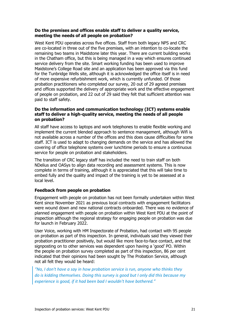#### **Do the premises and offices enable staff to deliver a quality service, meeting the needs of all people on probation?**

West Kent PDU operates across five offices. Staff from both legacy NPS and CRC are co-located in three out of the five premises, with an intention to co-locate the remaining two teams in Maidstone later this year. There are current building works in the Chatham office, but this is being managed in a way which ensures continued service delivery from the site. Smart working funding has been used to improve Maidstone's College Road site and an application has been approved via this fund for the Tunbridge Wells site, although it is acknowledged the office itself is in need of more expensive refurbishment work, which is currently unfunded. Of those probation practitioners who completed our survey, 20 out of 29 agreed premises and offices supported the delivery of appropriate work and the effective engagement of people on probation, and 22 out of 29 said they felt that sufficient attention was paid to staff safety.

#### **Do the information and communication technology (ICT) systems enable staff to deliver a high-quality service, meeting the needs of all people on probation?**

All staff have access to laptops and work telephones to enable flexible working and implement the current blended approach to sentence management, although Wifi is not available across a number of the offices and this does cause difficulties for some staff. ICT is used to adapt to changing demands on the service and has allowed the covering of office telephone systems over lunchtime periods to ensure a continuous service for people on probation and stakeholders.

The transition of CRC legacy staff has included the need to train staff on both NDelius and OASys to align data recording and assessment systems. This is now complete in terms of training, although it is appreciated that this will take time to embed fully and the quality and impact of the training is yet to be assessed at a local level.

#### **Feedback from people on probation**

Engagement with people on probation has not been formally undertaken within West Kent since November 2021 as previous local contracts with engagement facilitators were wound down and new national contracts onboarded. There was no evidence of planned engagement with people on probation within West Kent PDU at the point of inspection although the regional strategy for engaging people on probation was due for launch in February 2022.

User Voice, working with HM Inspectorate of Probation, had contact with 95 people on probation as part of this inspection. In general, individuals said they viewed their probation practitioner positively, but would like more face-to-face contact, and that signposting on to other services was dependent upon having a 'good' PO. Within the people on probation survey completed as part of this inspection, 86 per cent indicated that their opinions had been sought by The Probation Service, although not all felt they would be heard:

*"No, I don't have a say in how probation service is run, anyone who thinks they do is kidding themselves. Doing this survey is good but I only did this because my experience is good, if it had been bad I wouldn't have bothered."*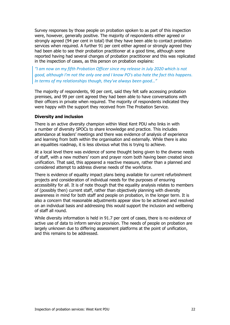Survey responses by those people on probation spoken to as part of this inspection were, however, generally positive. The majority of respondents either agreed or strongly agreed (94 per cent in total) that they have been able to contact probation services when required. A further 91 per cent either agreed or strongly agreed they had been able to see their probation practitioner at a good time, although some reported having had several changes of probation practitioner and this was replicated in the inspection of cases, as this person on probation explains:

*"I am now on my fifth Probation Officer since my release in July 2020 which is not good, although I'm not the only one and I know PO's also hate the fact this happens. In terms of my relationships though, they've always been good…"*

The majority of respondents, 90 per cent, said they felt safe accessing probation premises, and 99 per cent agreed they had been able to have conversations with their officers in private when required. The majority of respondents indicated they were happy with the support they received from The Probation Service.

#### **Diversity and inclusion**

There is an active diversity champion within West Kent PDU who links in with a number of diversity SPOCs to share knowledge and practice. This includes attendance at leaders' meetings and there was evidence of analysis of experience and learning from both within the organisation and externally. While there is also an equalities roadmap, it is less obvious what this is trying to achieve.

At a local level there was evidence of some thought being given to the diverse needs of staff, with a new mothers' room and prayer room both having been created since unification. That said, this appeared a reactive measure, rather than a planned and considered attempt to address diverse needs of the workforce.

There is evidence of equality impact plans being available for current refurbishment projects and consideration of individual needs for the purposes of ensuring accessibility for all. It is of note though that the equality analysis relates to members of (possibly then) current staff, rather than objectively planning with diversity awareness in mind for both staff and people on probation, in the longer term. It is also a concern that reasonable adjustments appear slow to be actioned and resolved on an individual basis and addressing this would support the inclusion and wellbeing of staff all round.

While diversity information is held in 91.7 per cent of cases, there is no evidence of active use of data to inform service provision. The needs of people on probation are largely unknown due to differing assessment platforms at the point of unification, and this remains to be addressed.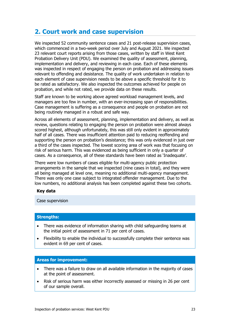# <span id="page-22-0"></span>**2. Court work and case supervision**

We inspected 52 community sentence cases and 21 post-release supervision cases, which commenced in a two-week period over July and August 2021. We inspected 23 relevant court reports arising from those cases, written by staff in West Kent Probation Delivery Unit (PDU). We examined the quality of assessment, planning, implementation and delivery, and reviewing in each case. Each of these elements was inspected in respect of engaging the person on probation and addressing issues relevant to offending and desistance. The quality of work undertaken in relation to each element of case supervision needs to be above a specific threshold for it to be rated as satisfactory. We also inspected the outcomes achieved for people on probation, and while not rated, we provide data on these results.

Staff are known to be working above agreed workload management levels, and managers are too few in number, with an ever-increasing span of responsibilities. Case management is suffering as a consequence and people on probation are not being routinely managed in a robust and safe way.

Across all elements of assessment, planning, implementation and delivery, as well as review, questions relating to engaging the person on probation were almost always scored highest, although unfortunately, this was still only evident in approximately half of all cases. There was insufficient attention paid to reducing reoffending and supporting the person on probation's desistance; this was only evidenced in just over a third of the cases inspected. The lowest scoring area of work was that focusing on risk of serious harm. This was evidenced as being sufficient in only a quarter of cases. As a consequence, all of these standards have been rated as 'Inadequate'.

There were low numbers of cases eligible for multi-agency public protection arrangements in the sample that we inspected (nine cases in total), and they were all being managed at level one, meaning no additional multi-agency management. There was only one case subject to integrated offender management. Due to the low numbers, no additional analysis has been completed against these two cohorts.

#### **Key data**

Case supervision

#### **Strengths:**

- There was evidence of information sharing with child safeguarding teams at the initial point of assessment in 71 per cent of cases.
- Flexibility to enable the individual to successfully complete their sentence was evident in 69 per cent of cases.

#### **Areas for improvement:**

- There was a failure to draw on all available information in the majority of cases at the point of assessment.
- Risk of serious harm was either incorrectly assessed or missing in 26 per cent of our sample overall.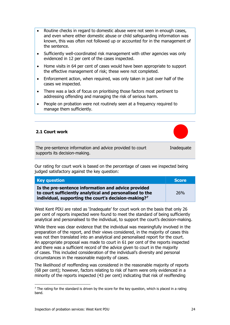- Routine checks in regard to domestic abuse were not seen in enough cases, and even where either domestic abuse or child safeguarding information was known, this was often not followed up or accounted for in the management of the sentence.
- Sufficiently well-coordinated risk management with other agencies was only evidenced in 12 per cent of the cases inspected.
- Home visits in 64 per cent of cases would have been appropriate to support the effective management of risk; these were not completed.
- Enforcement action, when required, was only taken in just over half of the cases we inspected.
- There was a lack of focus on prioritising those factors most pertinent to addressing offending and managing the risk of serious harm.
- People on probation were not routinely seen at a frequency required to manage them sufficiently.

#### **2.1 Court work**



Inadequate

The pre-sentence information and advice provided to court supports its decision-making.

Our rating for court work is based on the percentage of cases we inspected being judged satisfactory against the key question:

| <b>Key question</b>                                                                                                                                                                 | <b>Score</b> |
|-------------------------------------------------------------------------------------------------------------------------------------------------------------------------------------|--------------|
| Is the pre-sentence information and advice provided<br>to court sufficiently analytical and personalised to the<br>individual, supporting the court's decision-making? <sup>7</sup> | <b>26%</b>   |

West Kent PDU are rated as 'Inadequate' for court work on the basis that only 26 per cent of reports inspected were found to meet the standard of being sufficiently analytical and personalised to the individual, to support the court's decision-making.

While there was clear evidence that the individual was meaningfully involved in the preparation of the report, and their views considered, in the majority of cases this was not then translated into an analytical and personalised report for the court. An appropriate proposal was made to court in 61 per cent of the reports inspected and there was a sufficient record of the advice given to court in the majority of cases. This included consideration of the individual's diversity and personal circumstances in the reasonable majority of cases.

The likelihood of reoffending was considered in the reasonable majority of reports (68 per cent); however, factors relating to risk of harm were only evidenced in a minority of the reports inspected (43 per cent) indicating that risk of reoffending

<span id="page-23-0"></span> $7$  The rating for the standard is driven by the score for the key question, which is placed in a rating band.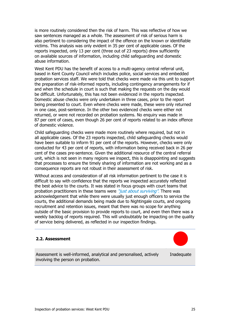is more routinely considered then the risk of harm. This was reflective of how we saw sentences managed as a whole. The assessment of risk of serious harm is also pertinent to considering the impact of the offence on the known or identifiable victims. This analysis was only evident in 35 per cent of applicable cases. Of the reports inspected, only 13 per cent (three out of 23 reports) drew sufficiently on available sources of information, including child safeguarding and domestic abuse information.

West Kent PDU has the benefit of access to a multi-agency central referral unit, based in Kent County Council which includes police, social services and embedded probation services staff. We were told that checks were made via this unit to support the preparation of risk-informed reports, including contingency arrangements for if and when the schedule in court is such that making the requests on the day would be difficult. Unfortunately, this has not been evidenced in the reports inspected. Domestic abuse checks were only undertaken in three cases, prior to the report being presented to court. Even where checks were made, these were only returned in one case, post-sentence. In the other two evidenced checks were either not returned, or were not recorded on probation systems. No enquiry was made in 87 per cent of cases, even though 26 per cent of reports related to an index offence of domestic violence.

Child safeguarding checks were made more routinely where required, but not in all applicable cases. Of the 23 reports inspected, child safeguarding checks would have been suitable to inform 91 per cent of the reports. However, checks were only conducted for 43 per cent of reports, with information being received back in 26 per cent of the cases pre-sentence. Given the additional resource of the central referral unit, which is not seen in many regions we inspect, this is disappointing and suggests that processes to ensure the timely sharing of information are not working and as a consequence reports are not robust in their assessment of risk.

Without access and consideration of all risk information pertinent to the case it is difficult to say with confidence that the reports we inspected accurately reflected the best advice to the courts. It was stated in focus groups with court teams that probation practitioners in these teams were "*just about surviving*". There was acknowledgement that while there were usually just enough officers to service the courts, the additional demands being made due to Nightingale courts, and ongoing recruitment and retention issues, meant that there was no scope for anything outside of the basic provision to provide reports to court, and even then there was a weekly backlog of reports required. This will undoubtably be impacting on the quality of service being delivered, as reflected in our inspection findings.

#### **2.2. Assessment**

Assessment is well-informed, analytical and personalised, actively involving the person on probation. Inadequate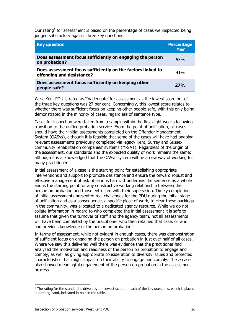Our rating $8$  for assessment is based on the percentage of cases we inspected being judged satisfactory against three key questions:

| <b>Key question</b>                                                                      | <b>Percentage</b><br>'Yes' |
|------------------------------------------------------------------------------------------|----------------------------|
| Does assessment focus sufficiently on engaging the person<br>on probation?               | 53%                        |
| Does assessment focus sufficiently on the factors linked to<br>offending and desistance? | 41%                        |
| Does assessment focus sufficiently on keeping other<br>people safe?                      | 27%                        |

West Kent PDU is rated as 'Inadequate' for assessment as the lowest score out of the three key questions was 27 per cent. Concerningly, this lowest score relates to whether there was sufficient focus on keeping other people safe, with this only being demonstrated in the minority of cases, regardless of sentence type.

Cases for inspection were taken from a sample within the first eight weeks following transition to the unified probation service. From the point of unification, all cases should have their initial assessments completed on the Offender Management System (OASys), although it is feasible that some of the cases will have had ongoing relevant assessments previously completed via legacy Kent, Surrey and Sussex community rehabilitation companies' systems (M-SAT). Regardless of the origin of the assessment, our standards and the expected quality of work remains the same; although it is acknowledged that the OASys system will be a new way of working for many practitioners.

Initial assessment of a case is the starting point for establishing appropriate interventions and support to promote desistance and ensure the onward robust and effective management of risk of serious harm. It underpins the sentence as a whole and is the starting point for any constructive working relationship between the person on probation and those entrusted with their supervision. Timely completion of initial assessments presented real challenges for the PDU during the initial stage of unification and as a consequence, a specific piece of work, to clear these backlogs in the community, was allocated to a dedicated agency resource. While we do not collate information in regard to who completed the initial assessment it is safe to assume that given the turnover of staff and the agency team, not all assessments will have been completed by the practitioner who then retained that case, or who had previous knowledge of the person on probation.

In terms of assessment, while not evident in enough cases, there was demonstration of sufficient focus on engaging the person on probation in just over half of all cases. Where we saw this delivered well there was evidence that the practitioner had analysed the motivation and readiness of the person on probation to engage and comply, as well as giving appropriate consideration to diversity issues and protected characteristics that might impact on their ability to engage and comply. These cases also showed meaningful engagement of the person on probation in the assessment process.

<span id="page-25-0"></span><sup>&</sup>lt;sup>8</sup> The rating for the standard is driven by the lowest score on each of the key questions, which is placed in a rating band, indicated in bold in the table.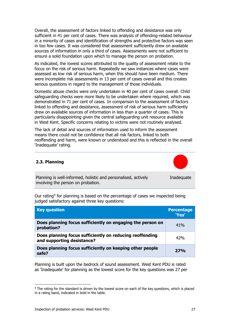Overall, the assessment of factors linked to offending and desistance was only sufficient in 41 per cent of cases. There was analysis of offending-related behaviour in a minority of cases and identification of strengths and protective factors was seen in too few cases. It was considered that assessment sufficiently drew on available sources of information in only a third of cases. Assessments were not sufficient to ensure a solid foundation upon which to manage the person on probation.

As indicated, the lowest scores attributed to the quality of assessment relate to the focus on the risk of serious harm. Repeatedly we saw instances where cases were assessed as low risk of serious harm, when this should have been medium. There were incomplete risk assessments in 13 per cent of cases overall and this creates serious questions in regard to the management of those individuals.

Domestic abuse checks were only undertaken in 40 per cent of cases overall. Child safeguarding checks were more likely to be undertaken where required, which was demonstrated in 71 per cent of cases. In comparison to the assessment of factors linked to offending and desistance, assessment of risk of serious harm sufficiently drew on available sources of information in less than a quarter of cases. This is particularly disappointing given the central safeguarding unit resource available in West Kent. Specific concerns relating to victims were not routinely analysed.

The lack of detail and sources of information used to inform the assessment means there could not be confidence that all risk factors, linked to both reoffending and harm, were known or understood and this is reflected in the overall 'Inadequate' rating.

#### **2.3. Planning**



Inadequate

Planning is well-informed, holistic and personalised, actively involving the person on probation.

Our rating<sup>[9](#page-26-0)</sup> for planning is based on the percentage of cases we inspected being judged satisfactory against three key questions:

| <b>Key question</b>                                                                    | <b>Percentage</b><br>'Yes' |
|----------------------------------------------------------------------------------------|----------------------------|
| Does planning focus sufficiently on engaging the person on<br>probation?               | 41%                        |
| Does planning focus sufficiently on reducing reoffending<br>and supporting desistance? | 42%                        |
| Does planning focus sufficiently on keeping other people<br>safe?                      | 27%                        |

Planning is built upon the bedrock of sound assessment. West Kent PDU is rated as 'Inadequate' for planning as the lowest score for the key questions was 27 per

<span id="page-26-0"></span><sup>&</sup>lt;sup>9</sup> The rating for the standard is driven by the lowest score on each of the key questions, which is placed in a rating band, indicated in bold in the table.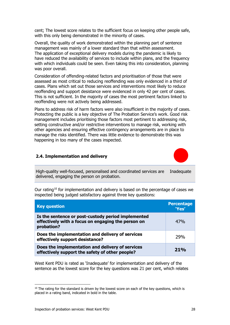cent; The lowest score relates to the sufficient focus on keeping other people safe, with this only being demonstrated in the minority of cases.

Overall, the quality of work demonstrated within the planning part of sentence management was mainly of a lower standard than that within assessment. The application of exceptional delivery models during the pandemic is likely to have reduced the availability of services to include within plans, and the frequency with which individuals could be seen. Even taking this into consideration, planning was poor overall.

Consideration of offending-related factors and prioritisation of those that were assessed as most critical to reducing reoffending was only evidenced in a third of cases. Plans which set out those services and interventions most likely to reduce reoffending and support desistance were evidenced in only 42 per cent of cases. This is not sufficient. In the majority of cases the most pertinent factors linked to reoffending were not actively being addressed.

Plans to address risk of harm factors were also insufficient in the majority of cases. Protecting the public is a key objective of The Probation Service's work. Good risk management includes prioritising those factors most pertinent to addressing risk, setting constructive and/or restrictive interventions to manage risk, working with other agencies and ensuring effective contingency arrangements are in place to manage the risks identified. There was little evidence to demonstrate this was happening in too many of the cases inspected.

#### **2.4. Implementation and delivery**

High-quality well-focused, personalised and coordinated services are delivered, engaging the person on probation. Inadequate

Our rating<sup>[10](#page-27-0)</sup> for implementation and delivery is based on the percentage of cases we inspected being judged satisfactory against three key questions:

| <b>Key question</b>                                                                                                    | <b>Percentage</b><br>'Yes' |
|------------------------------------------------------------------------------------------------------------------------|----------------------------|
| Is the sentence or post-custody period implemented<br>effectively with a focus on engaging the person on<br>probation? | 47%                        |
| Does the implementation and delivery of services<br>effectively support desistance?                                    | 29%                        |
| Does the implementation and delivery of services<br>effectively support the safety of other people?                    | 21%                        |

West Kent PDU is rated as 'Inadequate' for implementation and delivery of the sentence as the lowest score for the key questions was 21 per cent, which relates

<span id="page-27-0"></span> $10$  The rating for the standard is driven by the lowest score on each of the key questions, which is placed in a rating band, indicated in bold in the table.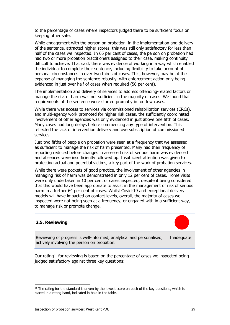to the percentage of cases where inspectors judged there to be sufficient focus on keeping other safe.

While engagement with the person on probation, in the implementation and delivery of the sentence, attracted higher scores, this was still only satisfactory for less than half of the cases we inspected. In 65 per cent of cases, the person on probation had had two or more probation practitioners assigned to their case, making continuity difficult to achieve. That said, there was evidence of working in a way which enabled the individual to complete their sentence, including flexibility to take account of personal circumstances in over two thirds of cases. This, however, may be at the expense of managing the sentence robustly, with enforcement action only being evidenced in just over half of cases when required (56 per cent).

The implementation and delivery of services to address offending-related factors or manage the risk of harm was not sufficient in the majority of cases. We found that requirements of the sentence were started promptly in too few cases.

While there was access to services via commissioned rehabilitation services (CRCs), and multi-agency work promoted for higher risk cases, the sufficiently coordinated involvement of other agencies was only evidenced in just above one fifth of cases. Many cases had long delays before commencing any type of intervention. This reflected the lack of intervention delivery and oversubscription of commissioned services.

Just two fifths of people on probation were seen at a frequency that we assessed as sufficient to manage the risk of harm presented. Many had their frequency of reporting reduced before changes in assessed risk of serious harm was evidenced and absences were insufficiently followed up. Insufficient attention was given to protecting actual and potential victims, a key part of the work of probation services.

While there were pockets of good practice, the involvement of other agencies in managing risk of harm was demonstrated in only 12 per cent of cases. Home visits were only undertaken in 10 per cent of cases inspected, despite it being considered that this would have been appropriate to assist in the management of risk of serious harm in a further 64 per cent of cases. Whilst Covid-19 and exceptional delivery models will have impacted on contact levels, overall, the majority of cases we inspected were not being seen at a frequency, or engaged with in a sufficient way, to manage risk or promote change.

#### **2.5. Reviewing**



Reviewing of progress is well-informed, analytical and personalised, actively involving the person on probation. Inadequate

Our rating<sup>[11](#page-28-0)</sup> for reviewing is based on the percentage of cases we inspected being judged satisfactory against three key questions:

<span id="page-28-0"></span> $11$  The rating for the standard is driven by the lowest score on each of the key questions, which is placed in a rating band, indicated in bold in the table.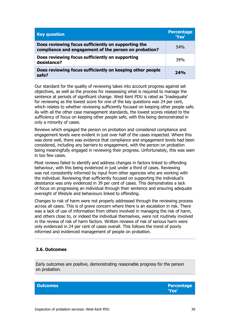| <b>Key question</b>                                                                                          | <b>Percentage</b><br>'Yes' |
|--------------------------------------------------------------------------------------------------------------|----------------------------|
| Does reviewing focus sufficiently on supporting the<br>compliance and engagement of the person on probation? | 54%                        |
| Does reviewing focus sufficiently on supporting<br>desistance?                                               | 39%                        |
| Does reviewing focus sufficiently on keeping other people<br>safe?                                           | 24%                        |

Our standard for the quality of reviewing takes into account progress against set objectives, as well as the process for reassessing what is required to manage the sentence at periods of significant change. West Kent PDU is rated as 'Inadequate' for reviewing as the lowest score for one of the key questions was 24 per cent, which relates to whether reviewing sufficiently focused on keeping other people safe. As with all the other case management standards, the lowest scores related to the sufficiency of focus on keeping other people safe, with this being demonstrated in only a minority of cases.

Reviews which engaged the person on probation and considered compliance and engagement levels were evident in just over half of the cases inspected. Where this was done well, there was evidence that compliance and engagement levels had been considered, including any barriers to engagement, with the person on probation being meaningfully engaged in reviewing their progress. Unfortunately, this was seen in too few cases.

Most reviews failed to identify and address changes in factors linked to offending behaviour, with this being evidenced in just under a third of cases. Reviewing was not consistently informed by input from other agencies who are working with the individual. Reviewing that sufficiently focused on supporting the individual's desistance was only evidenced in 39 per cent of cases. This demonstrates a lack of focus on progressing an individual through their sentence and ensuring adequate oversight of lifestyle and behaviours linked to offending.

Changes to risk of harm were not properly addressed through the reviewing process across all cases. This is of grave concern where there is an escalation in risk. There was a lack of use of information from others involved in managing the risk of harm, and others close to, or indeed the individual themselves, were not routinely involved in the review of risk of harm factors. Written reviews of risk of serious harm were only evidenced in 24 per cent of cases overall. This follows the trend of poorly informed and evidenced management of people on probation.

#### **2.6. Outcomes**

Early outcomes are positive, demonstrating reasonable progress for the person on probation.

**Outcomes Percentage 'Yes'**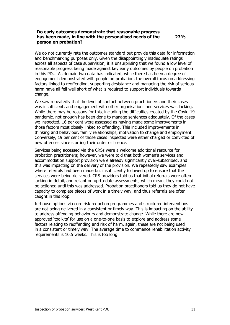#### **Do early outcomes demonstrate that reasonable progress has been made, in line with the personalised needs of the person on probation?**

We do not currently rate the outcomes standard but provide this data for information and benchmarking purposes only. Given the disappointingly inadequate ratings across all aspects of case supervision, it is unsurprising that we found a low level of reasonable progress being made against key early outcomes by people on probation in this PDU. As domain two data has indicated, while there has been a degree of engagement demonstrated with people on probation, the overall focus on addressing factors linked to reoffending, supporting desistance and managing the risk of serious harm have all fell well short of what is required to support individuals towards change.

We saw repeatedly that the level of contact between practitioners and their cases was insufficient, and engagement with other organisations and services was lacking. While there may be reasons for this, including the difficulties created by the Covid-19 pandemic, not enough has been done to manage sentences adequately. Of the cases we inspected, 16 per cent were assessed as having made some improvements in those factors most closely linked to offending. This included improvements in thinking and behaviour, family relationships, motivation to change and employment. Conversely, 19 per cent of those cases inspected were either charged or convicted of new offences since starting their order or licence.

Services being accessed via the CRSs were a welcome additional resource for probation practitioners; however, we were told that both women's services and accommodation support provision were already significantly over-subscribed, and this was impacting on the delivery of the provision. We repeatedly saw examples where referrals had been made but insufficiently followed up to ensure that the services were being delivered. CRS providers told us that initial referrals were often lacking in detail, and reliant on up-to-date assessments, which meant they could not be actioned until this was addressed. Probation practitioners told us they do not have capacity to complete pieces of work in a timely way, and thus referrals are often caught in this loop.

In-house options via core risk reduction programmes and structured interventions are not being delivered in a consistent or timely way. This is impacting on the ability to address offending behaviours and demonstrate change. While there are now approved 'toolkits' for use on a one-to-one basis to explore and address some factors relating to reoffending and risk of harm, again, these are not being used in a consistent or timely way. The average time to commence rehabilitation activity requirements is 10.5 weeks. This is too long.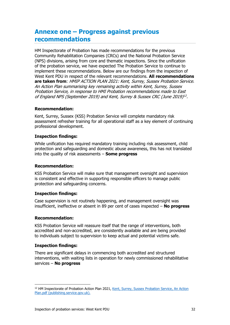# <span id="page-31-0"></span>**Annexe one – Progress against previous recommendations**

HM Inspectorate of Probation has made recommendations for the previous Community Rehabilitation Companies (CRCs) and the National Probation Service (NPS) divisions, arising from core and thematic inspections. Since the unification of the probation service, we have expected The Probation Service to continue to implement these recommendations. Below are our findings from the inspection of West Kent PDU in respect of the relevant recommendations. **All recommendations are taken from**: HMIP ACTION PLAN 2021: Kent, Surrey, Sussex Probation Service. An Action Plan summarising key remaining activity within Kent, Surrey, Sussex Probation Service, in response to HMI Probation recommendations made to East of England NPS (September 2019) and Kent, Surrey & Sussex CRC (June 2019)[12](#page-31-1) .

#### **Recommendation:**

Kent, Surrey, Sussex (KSS) Probation Service will complete mandatory risk assessment refresher training for all operational staff as a key element of continuing professional development.

#### **Inspection findings:**

While unification has required mandatory training including risk assessment, child protection and safeguarding and domestic abuse awareness, this has not translated into the quality of risk assessments – **Some progress**

#### **Recommendation:**

KSS Probation Service will make sure that management oversight and supervision is consistent and effective in supporting responsible officers to manage public protection and safeguarding concerns.

#### **Inspection findings:**

Case supervision is not routinely happening, and management oversight was insufficient, ineffective or absent in 89 per cent of cases inspected – **No progress**

#### **Recommendation:**

KSS Probation Service will reassure itself that the range of interventions, both accredited and non-accredited, are consistently available and are being provided to individuals subject to supervision to keep actual and potential victims safe.

#### **Inspection findings:**

There are significant delays in commencing both accredited and structured interventions, with waiting lists in operation for newly commissioned rehabilitative services – **No progress**

<span id="page-31-1"></span><sup>&</sup>lt;sup>12</sup> HM Inspectorate of Probation Action Plan 2021, [Kent, Surrey, Sussex Probation Service, An Action](https://assets.publishing.service.gov.uk/government/uploads/system/uploads/attachment_data/file/1025979/KSS_2021_HMIP_Action_Plan.pdf) [Plan.pdf \(publishing.service.gov.uk\).](https://assets.publishing.service.gov.uk/government/uploads/system/uploads/attachment_data/file/1025979/KSS_2021_HMIP_Action_Plan.pdf)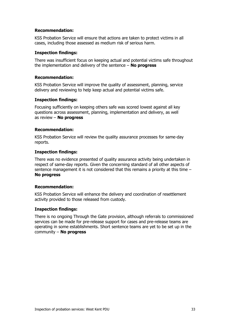#### **Recommendation:**

KSS Probation Service will ensure that actions are taken to protect victims in all cases, including those assessed as medium risk of serious harm.

#### **Inspection findings:**

There was insufficient focus on keeping actual and potential victims safe throughout the implementation and delivery of the sentence – **No progress**

#### **Recommendation:**

KSS Probation Service will improve the quality of assessment, planning, service delivery and reviewing to help keep actual and potential victims safe.

#### **Inspection findings:**

Focusing sufficiently on keeping others safe was scored lowest against all key questions across assessment, planning, implementation and delivery, as well as review – **No progress**

#### **Recommendation:**

KSS Probation Service will review the quality assurance processes for same-day reports.

#### **Inspection findings:**

There was no evidence presented of quality assurance activity being undertaken in respect of same-day reports. Given the concerning standard of all other aspects of sentence management it is not considered that this remains a priority at this time – **No progress**

#### **Recommendation:**

KSS Probation Service will enhance the delivery and coordination of resettlement activity provided to those released from custody.

#### **Inspection findings:**

There is no ongoing Through the Gate provision, although referrals to commissioned services can be made for pre-release support for cases and pre-release teams are operating in some establishments. Short sentence teams are yet to be set up in the community – **No progress**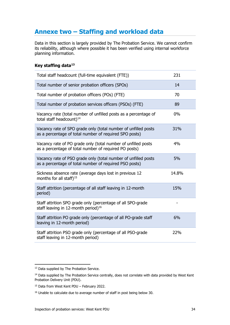# <span id="page-33-0"></span>**Annexe two – Staffing and workload data**

Data in this section is largely provided by The Probation Service. We cannot confirm its reliability, although where possible it has been verified using internal workforce planning information.

#### <span id="page-33-5"></span>**Key staffing data[13](#page-33-1)**

| Total staff headcount (full-time equivalent (FTE))                                                                       | 231   |
|--------------------------------------------------------------------------------------------------------------------------|-------|
| Total number of senior probation officers (SPOs)                                                                         | 14    |
| Total number of probation officers (POs) (FTE)                                                                           | 70    |
| Total number of probation services officers (PSOs) (FTE)                                                                 | 89    |
| Vacancy rate (total number of unfilled posts as a percentage of<br>total staff headcount) <sup>14</sup>                  | $0\%$ |
| Vacancy rate of SPO grade only (total number of unfilled posts<br>as a percentage of total number of required SPO posts) | 31%   |
| Vacancy rate of PO grade only (total number of unfilled posts<br>as a percentage of total number of required PO posts)   | 4%    |
| Vacancy rate of PSO grade only (total number of unfilled posts<br>as a percentage of total number of required PSO posts) | 5%    |
| Sickness absence rate (average days lost in previous 12<br>months for all staff) <sup>15</sup>                           | 14.8% |
| Staff attrition (percentage of all staff leaving in 12-month<br>period)                                                  | 15%   |
| Staff attrition SPO grade only (percentage of all SPO-grade<br>staff leaving in 12-month period) <sup>16</sup>           |       |
| Staff attrition PO grade only (percentage of all PO-grade staff<br>leaving in 12-month period)                           | 6%    |
| Staff attrition PSO grade only (percentage of all PSO-grade<br>staff leaving in 12-month period)                         | 22%   |

<span id="page-33-1"></span><sup>&</sup>lt;sup>13</sup> Data supplied by The Probation Service.

<span id="page-33-2"></span><sup>&</sup>lt;sup>14</sup> Data supplied by The Probation Service centrally, does not correlate with data provided by West Kent Probation Delivery Unit (PDU).

<span id="page-33-3"></span><sup>15</sup> Data from West Kent PDU – February 2022.

<span id="page-33-4"></span><sup>&</sup>lt;sup>16</sup> Unable to calculate due to average number of staff in post being below 30.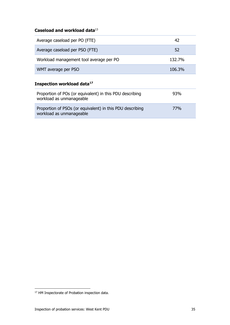### **Caseload and workload data**[13](#page-33-5)

| Average caseload per PO (FTE)           | 42     |
|-----------------------------------------|--------|
| Average caseload per PSO (FTE)          | 52     |
| Workload management tool average per PO | 132.7% |
| WMT average per PSO                     | 106.3% |

### **Inspection workload data[17](#page-34-0)**

| Proportion of POs (or equivalent) in this PDU describing<br>workload as unmanageable  | 93% |
|---------------------------------------------------------------------------------------|-----|
| Proportion of PSOs (or equivalent) in this PDU describing<br>workload as unmanageable | 77% |

<span id="page-34-0"></span><sup>&</sup>lt;sup>17</sup> HM Inspectorate of Probation inspection data.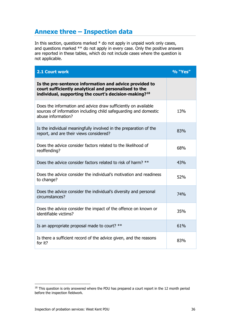# <span id="page-35-0"></span>**Annexe three – Inspection data**

In this section, questions marked \* do not apply in unpaid work only cases, and questions marked \*\* do not apply in every case. Only the positive answers are reported in these tables, which do not include cases where the question is not applicable.

| 2.1 Court work                                                                                                                                                                       | % "Yes" |
|--------------------------------------------------------------------------------------------------------------------------------------------------------------------------------------|---------|
| Is the pre-sentence information and advice provided to<br>court sufficiently analytical and personalised to the<br>individual, supporting the court's decision-making? <sup>18</sup> |         |
| Does the information and advice draw sufficiently on available<br>sources of information including child safeguarding and domestic<br>abuse information?                             | 13%     |
| Is the individual meaningfully involved in the preparation of the<br>report, and are their views considered?                                                                         | 83%     |
| Does the advice consider factors related to the likelihood of<br>reoffending?                                                                                                        | 68%     |
| Does the advice consider factors related to risk of harm? **                                                                                                                         | 43%     |
| Does the advice consider the individual's motivation and readiness<br>to change?                                                                                                     | 52%     |
| Does the advice consider the individual's diversity and personal<br>circumstances?                                                                                                   | 74%     |
| Does the advice consider the impact of the offence on known or<br>identifiable victims?                                                                                              | 35%     |
| Is an appropriate proposal made to court? **                                                                                                                                         | 61%     |
| Is there a sufficient record of the advice given, and the reasons<br>for it?                                                                                                         | 83%     |

<span id="page-35-1"></span> $18$  This question is only answered where the PDU has prepared a court report in the 12 month period before the inspection fieldwork.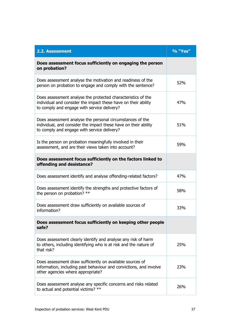| <b>2.2. Assessment</b>                                                                                                                                                        | % "Yes" |
|-------------------------------------------------------------------------------------------------------------------------------------------------------------------------------|---------|
| Does assessment focus sufficiently on engaging the person<br>on probation?                                                                                                    |         |
| Does assessment analyse the motivation and readiness of the<br>person on probation to engage and comply with the sentence?                                                    | 52%     |
| Does assessment analyse the protected characteristics of the<br>individual and consider the impact these have on their ability<br>to comply and engage with service delivery? | 47%     |
| Does assessment analyse the personal circumstances of the<br>individual, and consider the impact these have on their ability<br>to comply and engage with service delivery?   | 51%     |
| Is the person on probation meaningfully involved in their<br>assessment, and are their views taken into account?                                                              | 59%     |
| Does assessment focus sufficiently on the factors linked to<br>offending and desistance?                                                                                      |         |
| Does assessment identify and analyse offending-related factors?                                                                                                               | 47%     |
| Does assessment identify the strengths and protective factors of<br>the person on probation? **                                                                               | 58%     |
| Does assessment draw sufficiently on available sources of<br>information?                                                                                                     | 33%     |
| Does assessment focus sufficiently on keeping other people<br>safe?                                                                                                           |         |
| Does assessment clearly identify and analyse any risk of harm<br>to others, including identifying who is at risk and the nature of<br>that risk?                              | 25%     |
| Does assessment draw sufficiently on available sources of<br>information, including past behaviour and convictions, and involve<br>other agencies where appropriate?          | 23%     |
| Does assessment analyse any specific concerns and risks related<br>to actual and potential victims? **                                                                        | 26%     |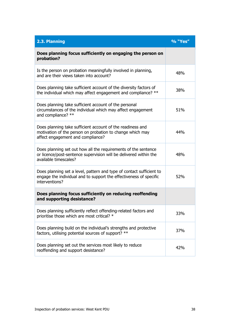| 2.3. Planning                                                                                                                                                | % "Yes" |
|--------------------------------------------------------------------------------------------------------------------------------------------------------------|---------|
| Does planning focus sufficiently on engaging the person on<br>probation?                                                                                     |         |
| Is the person on probation meaningfully involved in planning,<br>and are their views taken into account?                                                     | 48%     |
| Does planning take sufficient account of the diversity factors of<br>the individual which may affect engagement and compliance? **                           | 38%     |
| Does planning take sufficient account of the personal<br>circumstances of the individual which may affect engagement<br>and compliance? **                   | 51%     |
| Does planning take sufficient account of the readiness and<br>motivation of the person on probation to change which may<br>affect engagement and compliance? | 44%     |
| Does planning set out how all the requirements of the sentence<br>or licence/post-sentence supervision will be delivered within the<br>available timescales? | 48%     |
| Does planning set a level, pattern and type of contact sufficient to<br>engage the individual and to support the effectiveness of specific<br>interventions? | 52%     |
| Does planning focus sufficiently on reducing reoffending<br>and supporting desistance?                                                                       |         |
| Does planning sufficiently reflect offending-related factors and<br>prioritise those which are most critical? *                                              | 33%     |
| Does planning build on the individual's strengths and protective<br>factors, utilising potential sources of support? **                                      | 37%     |
| Does planning set out the services most likely to reduce<br>reoffending and support desistance?                                                              | 42%     |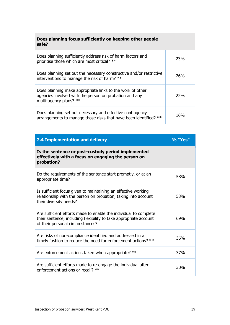| Does planning focus sufficiently on keeping other people<br>safe?                                                                             |     |
|-----------------------------------------------------------------------------------------------------------------------------------------------|-----|
| Does planning sufficiently address risk of harm factors and<br>prioritise those which are most critical? **                                   | 23% |
| Does planning set out the necessary constructive and/or restrictive<br>interventions to manage the risk of harm? **                           | 26% |
| Does planning make appropriate links to the work of other<br>agencies involved with the person on probation and any<br>multi-agency plans? ** | 22% |
| Does planning set out necessary and effective contingency<br>arrangements to manage those risks that have been identified? **                 | 16% |

| <b>2.4 Implementation and delivery</b>                                                                                                                                    | % "Yes" |
|---------------------------------------------------------------------------------------------------------------------------------------------------------------------------|---------|
| Is the sentence or post-custody period implemented<br>effectively with a focus on engaging the person on<br>probation?                                                    |         |
| Do the requirements of the sentence start promptly, or at an<br>appropriate time?                                                                                         | 58%     |
| Is sufficient focus given to maintaining an effective working<br>relationship with the person on probation, taking into account<br>their diversity needs?                 | 53%     |
| Are sufficient efforts made to enable the individual to complete<br>their sentence, including flexibility to take appropriate account<br>of their personal circumstances? | 69%     |
| Are risks of non-compliance identified and addressed in a<br>timely fashion to reduce the need for enforcement actions? **                                                | 36%     |
| Are enforcement actions taken when appropriate? **                                                                                                                        | 37%     |
| Are sufficient efforts made to re-engage the individual after<br>enforcement actions or recall? **                                                                        | 30%     |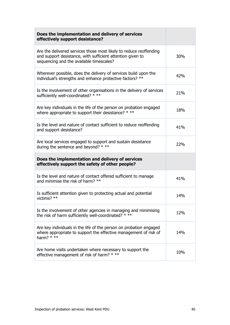| Does the implementation and delivery of services<br>effectively support desistance?                                                                                          |     |
|------------------------------------------------------------------------------------------------------------------------------------------------------------------------------|-----|
| Are the delivered services those most likely to reduce reoffending<br>and support desistance, with sufficient attention given to<br>sequencing and the available timescales? | 30% |
| Wherever possible, does the delivery of services build upon the<br>individual's strengths and enhance protective factors? **                                                 | 42% |
| Is the involvement of other organisations in the delivery of services<br>sufficiently well-coordinated? * **                                                                 | 21% |
| Are key individuals in the life of the person on probation engaged<br>where appropriate to support their desistance? * **                                                    | 18% |
| Is the level and nature of contact sufficient to reduce reoffending<br>and support desistance?                                                                               | 41% |
| Are local services engaged to support and sustain desistance<br>during the sentence and beyond? $***$                                                                        | 22% |
| Does the implementation and delivery of services<br>effectively support the safety of other people?                                                                          |     |
| Is the level and nature of contact offered sufficient to manage<br>and minimise the risk of harm? **                                                                         | 41% |
| Is sufficient attention given to protecting actual and potential<br>victims? $**$                                                                                            | 14% |
| Is the involvement of other agencies in managing and minimising<br>the risk of harm sufficiently well-coordinated? * **                                                      | 12% |
| Are key individuals in the life of the person on probation engaged<br>where appropriate to support the effective management of risk of<br>harm? $***$                        | 14% |
| Are home visits undertaken where necessary to support the<br>effective management of risk of harm? * **                                                                      | 10% |

П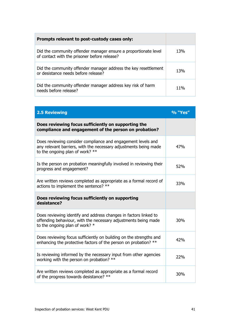| Prompts relevant to post-custody cases only:                                                                    |            |
|-----------------------------------------------------------------------------------------------------------------|------------|
| Did the community offender manager ensure a proportionate level<br>of contact with the prisoner before release? | <b>13%</b> |
| Did the community offender manager address the key resettlement<br>or desistance needs before release?          | <b>13%</b> |
| Did the community offender manager address key risk of harm<br>needs before release?                            | 11%        |

| <b>2.5 Reviewing</b>                                                                                                                                                   | % "Yes" |
|------------------------------------------------------------------------------------------------------------------------------------------------------------------------|---------|
| Does reviewing focus sufficiently on supporting the<br>compliance and engagement of the person on probation?                                                           |         |
| Does reviewing consider compliance and engagement levels and<br>any relevant barriers, with the necessary adjustments being made<br>to the ongoing plan of work? $**$  | 47%     |
| Is the person on probation meaningfully involved in reviewing their<br>progress and engagement?                                                                        | 52%     |
| Are written reviews completed as appropriate as a formal record of<br>actions to implement the sentence? **                                                            | 33%     |
| Does reviewing focus sufficiently on supporting<br>desistance?                                                                                                         |         |
| Does reviewing identify and address changes in factors linked to<br>offending behaviour, with the necessary adjustments being made<br>to the ongoing plan of work? $*$ | 30%     |
| Does reviewing focus sufficiently on building on the strengths and<br>enhancing the protective factors of the person on probation? **                                  | 42%     |
| Is reviewing informed by the necessary input from other agencies<br>working with the person on probation? **                                                           | 22%     |
| Are written reviews completed as appropriate as a formal record<br>of the progress towards desistance? **                                                              | 30%     |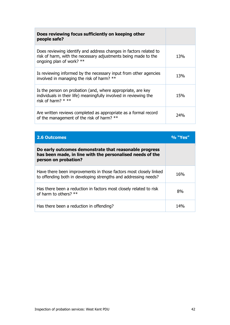| Does reviewing focus sufficiently on keeping other<br>people safe?                                                                                              |     |
|-----------------------------------------------------------------------------------------------------------------------------------------------------------------|-----|
| Does reviewing identify and address changes in factors related to<br>risk of harm, with the necessary adjustments being made to the<br>ongoing plan of work? ** | 13% |
| Is reviewing informed by the necessary input from other agencies<br>involved in managing the risk of harm? **                                                   | 13% |
| Is the person on probation (and, where appropriate, are key<br>individuals in their life) meaningfully involved in reviewing the<br>risk of harm? $***$         | 15% |
| Are written reviews completed as appropriate as a formal record<br>of the management of the risk of harm? **                                                    | 24% |

| <b>2.6 Outcomes</b>                                                                                                                         | % "Yes |
|---------------------------------------------------------------------------------------------------------------------------------------------|--------|
| Do early outcomes demonstrate that reasonable progress<br>has been made, in line with the personalised needs of the<br>person on probation? |        |
| Have there been improvements in those factors most closely linked<br>to offending both in developing strengths and addressing needs?        | 16%    |
| Has there been a reduction in factors most closely related to risk<br>of harm to others? $**$                                               | 8%     |
| Has there been a reduction in offending?                                                                                                    |        |